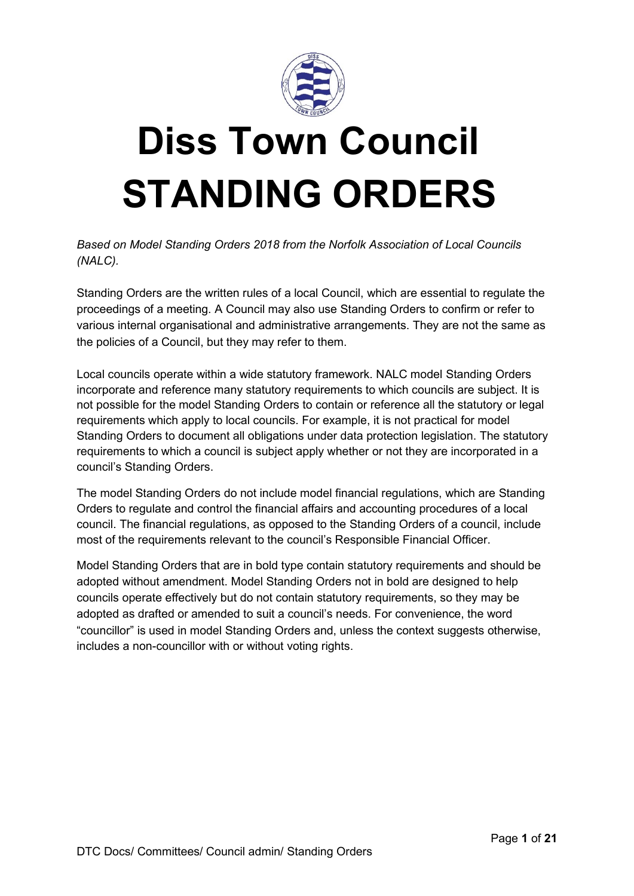

# **Diss Town Council STANDING ORDERS**

*Based on Model Standing Orders 2018 from the Norfolk Association of Local Councils (NALC).* 

Standing Orders are the written rules of a local Council, which are essential to regulate the proceedings of a meeting. A Council may also use Standing Orders to confirm or refer to various internal organisational and administrative arrangements. They are not the same as the policies of a Council, but they may refer to them.

Local councils operate within a wide statutory framework. NALC model Standing Orders incorporate and reference many statutory requirements to which councils are subject. It is not possible for the model Standing Orders to contain or reference all the statutory or legal requirements which apply to local councils. For example, it is not practical for model Standing Orders to document all obligations under data protection legislation. The statutory requirements to which a council is subject apply whether or not they are incorporated in a council's Standing Orders.

The model Standing Orders do not include model financial regulations, which are Standing Orders to regulate and control the financial affairs and accounting procedures of a local council. The financial regulations, as opposed to the Standing Orders of a council, include most of the requirements relevant to the council's Responsible Financial Officer.

Model Standing Orders that are in bold type contain statutory requirements and should be adopted without amendment. Model Standing Orders not in bold are designed to help councils operate effectively but do not contain statutory requirements, so they may be adopted as drafted or amended to suit a council's needs. For convenience, the word "councillor" is used in model Standing Orders and, unless the context suggests otherwise, includes a non-councillor with or without voting rights.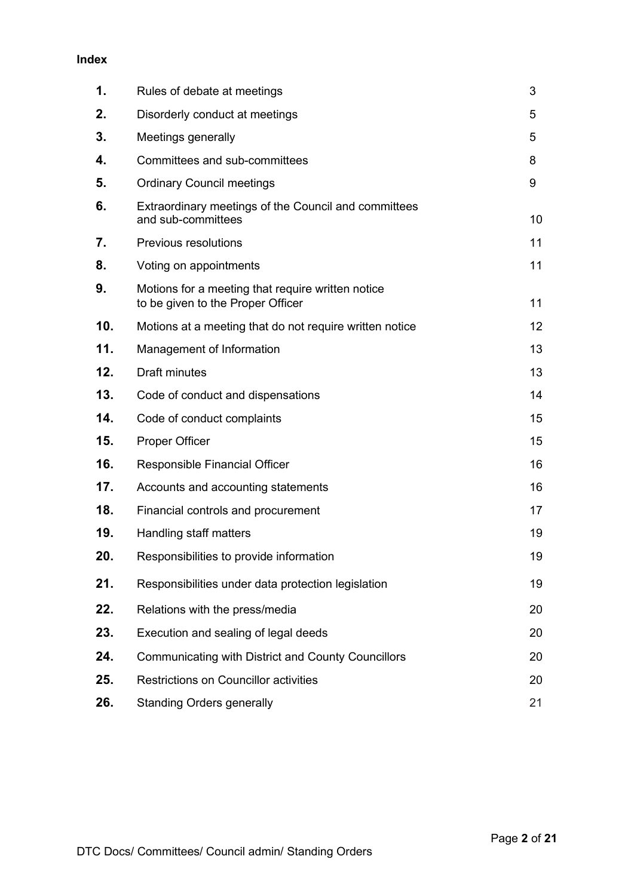#### **Index**

| 1.  | Rules of debate at meetings                                                            | 3  |
|-----|----------------------------------------------------------------------------------------|----|
| 2.  | Disorderly conduct at meetings                                                         | 5  |
| 3.  | Meetings generally                                                                     | 5  |
| 4.  | Committees and sub-committees                                                          | 8  |
| 5.  | <b>Ordinary Council meetings</b>                                                       | 9  |
| 6.  | Extraordinary meetings of the Council and committees<br>and sub-committees             | 10 |
| 7.  | <b>Previous resolutions</b>                                                            | 11 |
| 8.  | Voting on appointments                                                                 | 11 |
| 9.  | Motions for a meeting that require written notice<br>to be given to the Proper Officer | 11 |
| 10. | Motions at a meeting that do not require written notice                                | 12 |
| 11. | Management of Information                                                              | 13 |
| 12. | <b>Draft minutes</b>                                                                   | 13 |
| 13. | Code of conduct and dispensations                                                      | 14 |
| 14. | Code of conduct complaints                                                             | 15 |
| 15. | <b>Proper Officer</b>                                                                  | 15 |
| 16. | Responsible Financial Officer                                                          | 16 |
| 17. | Accounts and accounting statements                                                     | 16 |
| 18. | Financial controls and procurement                                                     | 17 |
| 19. | Handling staff matters                                                                 | 19 |
| 20. | Responsibilities to provide information                                                | 19 |
| 21. | Responsibilities under data protection legislation                                     | 19 |
| 22. | Relations with the press/media                                                         | 20 |
| 23. | Execution and sealing of legal deeds                                                   | 20 |
| 24. | <b>Communicating with District and County Councillors</b>                              | 20 |
| 25. | Restrictions on Councillor activities                                                  | 20 |
| 26. | <b>Standing Orders generally</b>                                                       | 21 |
|     |                                                                                        |    |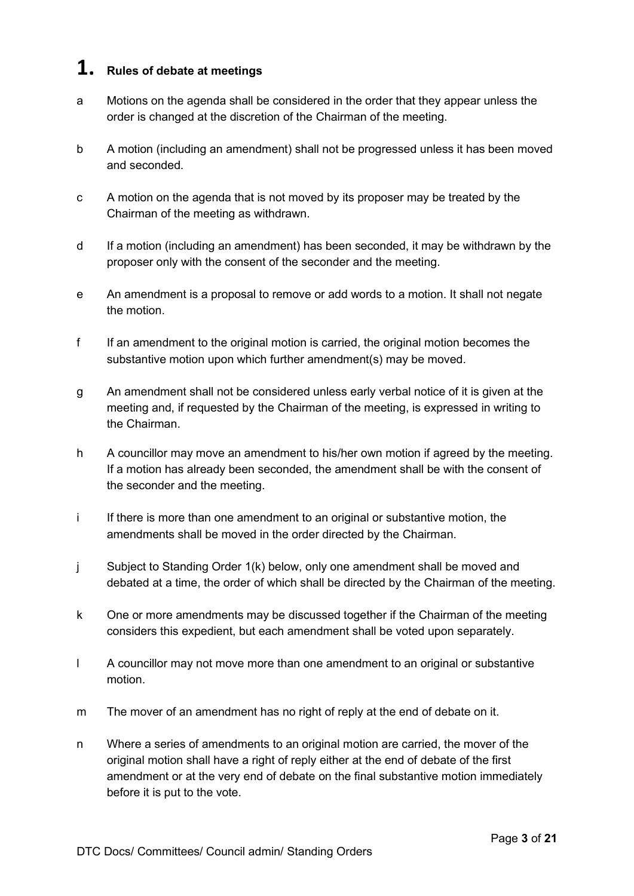# **1. Rules of debate at meetings**

- a Motions on the agenda shall be considered in the order that they appear unless the order is changed at the discretion of the Chairman of the meeting.
- b A motion (including an amendment) shall not be progressed unless it has been moved and seconded.
- c A motion on the agenda that is not moved by its proposer may be treated by the Chairman of the meeting as withdrawn.
- d If a motion (including an amendment) has been seconded, it may be withdrawn by the proposer only with the consent of the seconder and the meeting.
- e An amendment is a proposal to remove or add words to a motion. It shall not negate the motion.
- f If an amendment to the original motion is carried, the original motion becomes the substantive motion upon which further amendment(s) may be moved.
- g An amendment shall not be considered unless early verbal notice of it is given at the meeting and, if requested by the Chairman of the meeting, is expressed in writing to the Chairman.
- h A councillor may move an amendment to his/her own motion if agreed by the meeting. If a motion has already been seconded, the amendment shall be with the consent of the seconder and the meeting.
- i If there is more than one amendment to an original or substantive motion, the amendments shall be moved in the order directed by the Chairman.
- j Subject to Standing Order 1(k) below, only one amendment shall be moved and debated at a time, the order of which shall be directed by the Chairman of the meeting.
- k One or more amendments may be discussed together if the Chairman of the meeting considers this expedient, but each amendment shall be voted upon separately.
- l A councillor may not move more than one amendment to an original or substantive motion.
- m The mover of an amendment has no right of reply at the end of debate on it.
- n Where a series of amendments to an original motion are carried, the mover of the original motion shall have a right of reply either at the end of debate of the first amendment or at the very end of debate on the final substantive motion immediately before it is put to the vote.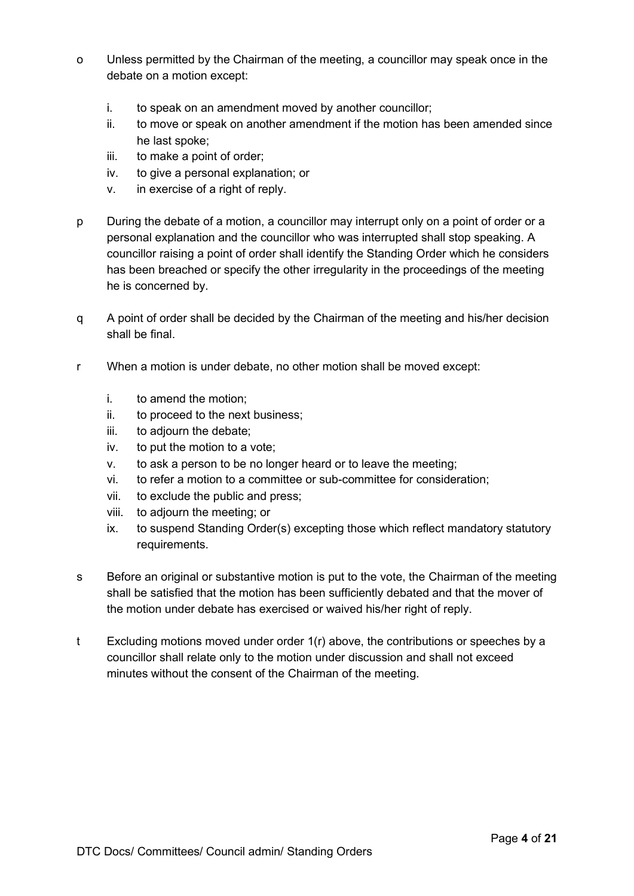- o Unless permitted by the Chairman of the meeting, a councillor may speak once in the debate on a motion except:
	- i. to speak on an amendment moved by another councillor;
	- ii. to move or speak on another amendment if the motion has been amended since he last spoke;
	- iii. to make a point of order;
	- iv. to give a personal explanation; or
	- v. in exercise of a right of reply.
- p During the debate of a motion, a councillor may interrupt only on a point of order or a personal explanation and the councillor who was interrupted shall stop speaking. A councillor raising a point of order shall identify the Standing Order which he considers has been breached or specify the other irregularity in the proceedings of the meeting he is concerned by.
- q A point of order shall be decided by the Chairman of the meeting and his/her decision shall be final.
- r When a motion is under debate, no other motion shall be moved except:
	- i. to amend the motion;
	- ii. to proceed to the next business;
	- iii. to adjourn the debate;
	- iv. to put the motion to a vote;
	- v. to ask a person to be no longer heard or to leave the meeting;
	- vi. to refer a motion to a committee or sub-committee for consideration;
	- vii. to exclude the public and press;
	- viii. to adjourn the meeting; or
	- ix. to suspend Standing Order(s) excepting those which reflect mandatory statutory requirements.
- s Before an original or substantive motion is put to the vote, the Chairman of the meeting shall be satisfied that the motion has been sufficiently debated and that the mover of the motion under debate has exercised or waived his/her right of reply.
- t Excluding motions moved under order 1(r) above, the contributions or speeches by a councillor shall relate only to the motion under discussion and shall not exceed minutes without the consent of the Chairman of the meeting.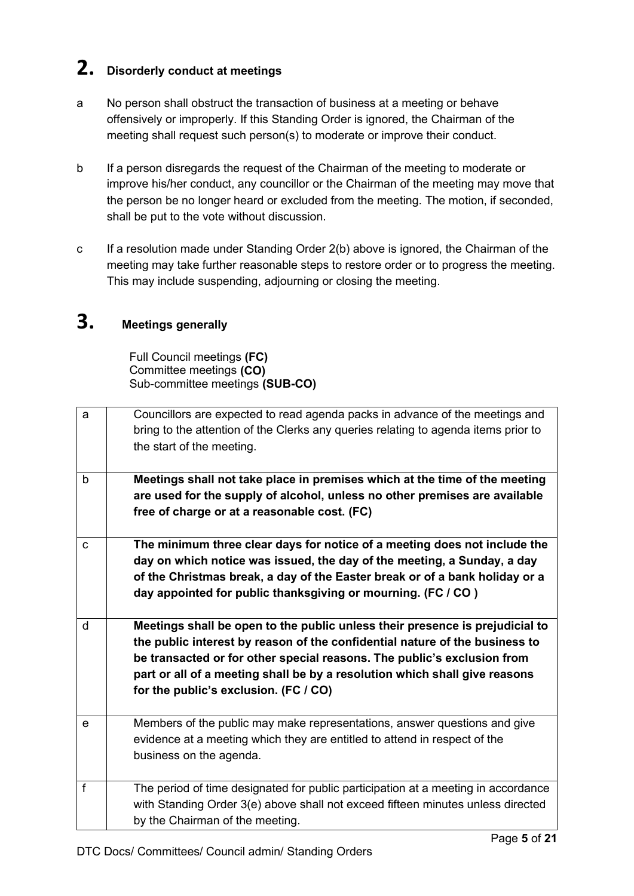# **2. Disorderly conduct at meetings**

- a No person shall obstruct the transaction of business at a meeting or behave offensively or improperly. If this Standing Order is ignored, the Chairman of the meeting shall request such person(s) to moderate or improve their conduct.
- b If a person disregards the request of the Chairman of the meeting to moderate or improve his/her conduct, any councillor or the Chairman of the meeting may move that the person be no longer heard or excluded from the meeting. The motion, if seconded, shall be put to the vote without discussion.
- c If a resolution made under Standing Order 2(b) above is ignored, the Chairman of the meeting may take further reasonable steps to restore order or to progress the meeting. This may include suspending, adjourning or closing the meeting.

# **3. Meetings generally**

Full Council meetings **(FC)** Committee meetings **(CO)** Sub-committee meetings **(SUB-CO)**

| a           | Councillors are expected to read agenda packs in advance of the meetings and<br>bring to the attention of the Clerks any queries relating to agenda items prior to<br>the start of the meeting.                                                                                                                      |
|-------------|----------------------------------------------------------------------------------------------------------------------------------------------------------------------------------------------------------------------------------------------------------------------------------------------------------------------|
| $\mathsf b$ | Meetings shall not take place in premises which at the time of the meeting<br>are used for the supply of alcohol, unless no other premises are available<br>free of charge or at a reasonable cost. (FC)                                                                                                             |
| $\mathbf C$ | The minimum three clear days for notice of a meeting does not include the<br>day on which notice was issued, the day of the meeting, a Sunday, a day<br>of the Christmas break, a day of the Easter break or of a bank holiday or a<br>day appointed for public thanksgiving or mourning. (FC / CO)                  |
| d           | Meetings shall be open to the public unless their presence is prejudicial to<br>the public interest by reason of the confidential nature of the business to<br>be transacted or for other special reasons. The public's exclusion from<br>part or all of a meeting shall be by a resolution which shall give reasons |
|             | for the public's exclusion. (FC / CO)                                                                                                                                                                                                                                                                                |
| $\mathbf e$ | Members of the public may make representations, answer questions and give<br>evidence at a meeting which they are entitled to attend in respect of the<br>business on the agenda.                                                                                                                                    |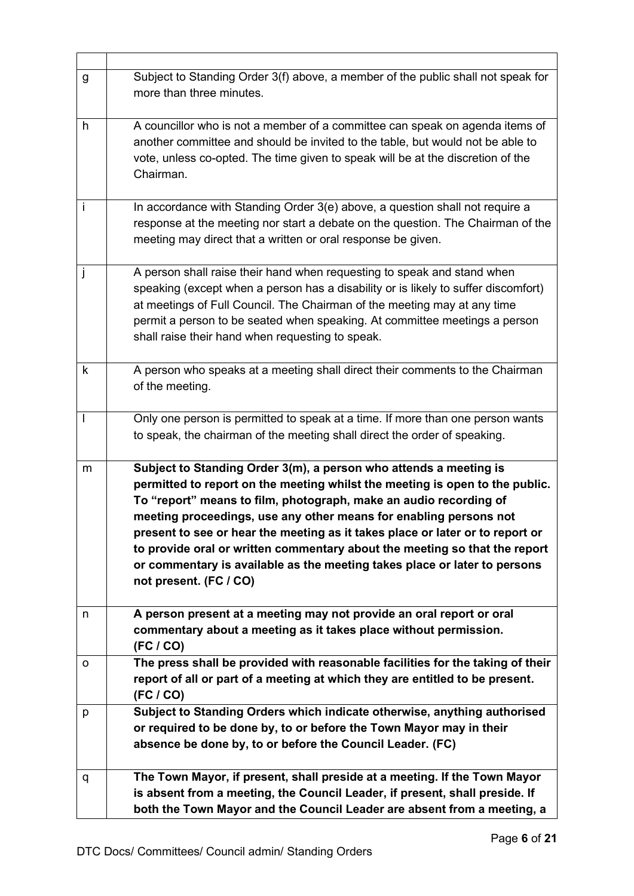| g                        | Subject to Standing Order 3(f) above, a member of the public shall not speak for<br>more than three minutes.                                                                                                                                                                                                                                                                                                                                                                                                                                                      |  |
|--------------------------|-------------------------------------------------------------------------------------------------------------------------------------------------------------------------------------------------------------------------------------------------------------------------------------------------------------------------------------------------------------------------------------------------------------------------------------------------------------------------------------------------------------------------------------------------------------------|--|
| h                        | A councillor who is not a member of a committee can speak on agenda items of<br>another committee and should be invited to the table, but would not be able to<br>vote, unless co-opted. The time given to speak will be at the discretion of the<br>Chairman.                                                                                                                                                                                                                                                                                                    |  |
| $\mathbf{i}$             | In accordance with Standing Order 3(e) above, a question shall not require a<br>response at the meeting nor start a debate on the question. The Chairman of the<br>meeting may direct that a written or oral response be given.                                                                                                                                                                                                                                                                                                                                   |  |
| j                        | A person shall raise their hand when requesting to speak and stand when<br>speaking (except when a person has a disability or is likely to suffer discomfort)<br>at meetings of Full Council. The Chairman of the meeting may at any time<br>permit a person to be seated when speaking. At committee meetings a person<br>shall raise their hand when requesting to speak.                                                                                                                                                                                       |  |
| k                        | A person who speaks at a meeting shall direct their comments to the Chairman<br>of the meeting.                                                                                                                                                                                                                                                                                                                                                                                                                                                                   |  |
| $\overline{\phantom{a}}$ | Only one person is permitted to speak at a time. If more than one person wants<br>to speak, the chairman of the meeting shall direct the order of speaking.                                                                                                                                                                                                                                                                                                                                                                                                       |  |
| m                        | Subject to Standing Order 3(m), a person who attends a meeting is<br>permitted to report on the meeting whilst the meeting is open to the public.<br>To "report" means to film, photograph, make an audio recording of<br>meeting proceedings, use any other means for enabling persons not<br>present to see or hear the meeting as it takes place or later or to report or<br>to provide oral or written commentary about the meeting so that the report<br>or commentary is available as the meeting takes place or later to persons<br>not present. (FC / CO) |  |
|                          |                                                                                                                                                                                                                                                                                                                                                                                                                                                                                                                                                                   |  |
| n                        | A person present at a meeting may not provide an oral report or oral<br>commentary about a meeting as it takes place without permission.<br>(FC / CO)                                                                                                                                                                                                                                                                                                                                                                                                             |  |
| o                        | The press shall be provided with reasonable facilities for the taking of their<br>report of all or part of a meeting at which they are entitled to be present.<br>(FC / CO)                                                                                                                                                                                                                                                                                                                                                                                       |  |
| p                        | Subject to Standing Orders which indicate otherwise, anything authorised<br>or required to be done by, to or before the Town Mayor may in their<br>absence be done by, to or before the Council Leader. (FC)                                                                                                                                                                                                                                                                                                                                                      |  |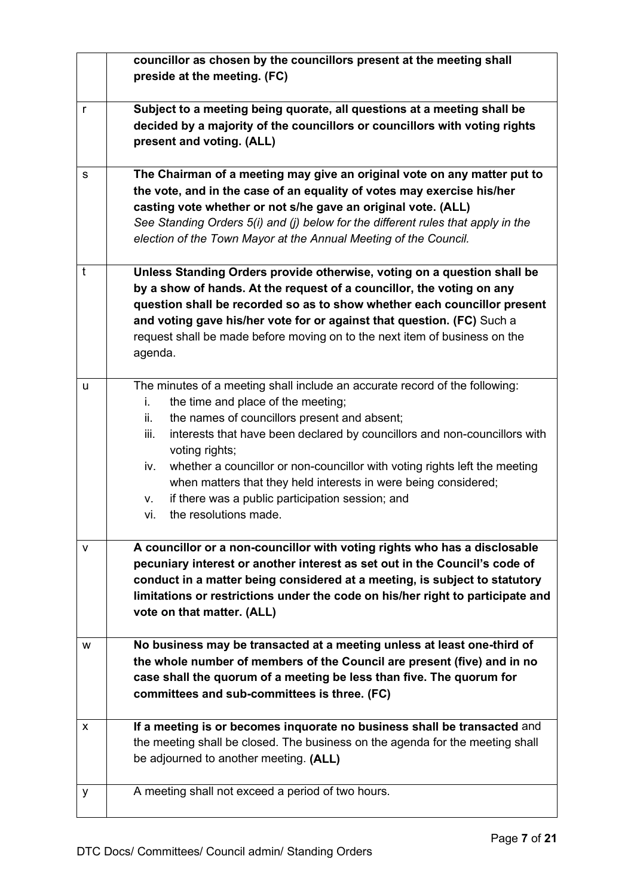|              | councillor as chosen by the councillors present at the meeting shall<br>preside at the meeting. (FC)                                                                                                                                                                                                                                                                                                                                                                                                                                    |
|--------------|-----------------------------------------------------------------------------------------------------------------------------------------------------------------------------------------------------------------------------------------------------------------------------------------------------------------------------------------------------------------------------------------------------------------------------------------------------------------------------------------------------------------------------------------|
|              |                                                                                                                                                                                                                                                                                                                                                                                                                                                                                                                                         |
| $\mathsf{r}$ | Subject to a meeting being quorate, all questions at a meeting shall be<br>decided by a majority of the councillors or councillors with voting rights<br>present and voting. (ALL)                                                                                                                                                                                                                                                                                                                                                      |
| $\mathsf{s}$ | The Chairman of a meeting may give an original vote on any matter put to<br>the vote, and in the case of an equality of votes may exercise his/her<br>casting vote whether or not s/he gave an original vote. (ALL)<br>See Standing Orders 5(i) and (j) below for the different rules that apply in the<br>election of the Town Mayor at the Annual Meeting of the Council.                                                                                                                                                             |
| $\mathbf{t}$ | Unless Standing Orders provide otherwise, voting on a question shall be<br>by a show of hands. At the request of a councillor, the voting on any<br>question shall be recorded so as to show whether each councillor present<br>and voting gave his/her vote for or against that question. (FC) Such a<br>request shall be made before moving on to the next item of business on the<br>agenda.                                                                                                                                         |
| u            | The minutes of a meeting shall include an accurate record of the following:<br>the time and place of the meeting;<br>i.<br>the names of councillors present and absent;<br>ii.<br>iii.<br>interests that have been declared by councillors and non-councillors with<br>voting rights;<br>whether a councillor or non-councillor with voting rights left the meeting<br>iv.<br>when matters that they held interests in were being considered;<br>if there was a public participation session; and<br>۷.<br>the resolutions made.<br>vi. |
| v            | A councillor or a non-councillor with voting rights who has a disclosable<br>pecuniary interest or another interest as set out in the Council's code of<br>conduct in a matter being considered at a meeting, is subject to statutory<br>limitations or restrictions under the code on his/her right to participate and<br>vote on that matter. (ALL)                                                                                                                                                                                   |
| W            | No business may be transacted at a meeting unless at least one-third of<br>the whole number of members of the Council are present (five) and in no<br>case shall the quorum of a meeting be less than five. The quorum for<br>committees and sub-committees is three. (FC)                                                                                                                                                                                                                                                              |
| $\mathsf{x}$ | If a meeting is or becomes inquorate no business shall be transacted and<br>the meeting shall be closed. The business on the agenda for the meeting shall<br>be adjourned to another meeting. (ALL)                                                                                                                                                                                                                                                                                                                                     |
| y            | A meeting shall not exceed a period of two hours.                                                                                                                                                                                                                                                                                                                                                                                                                                                                                       |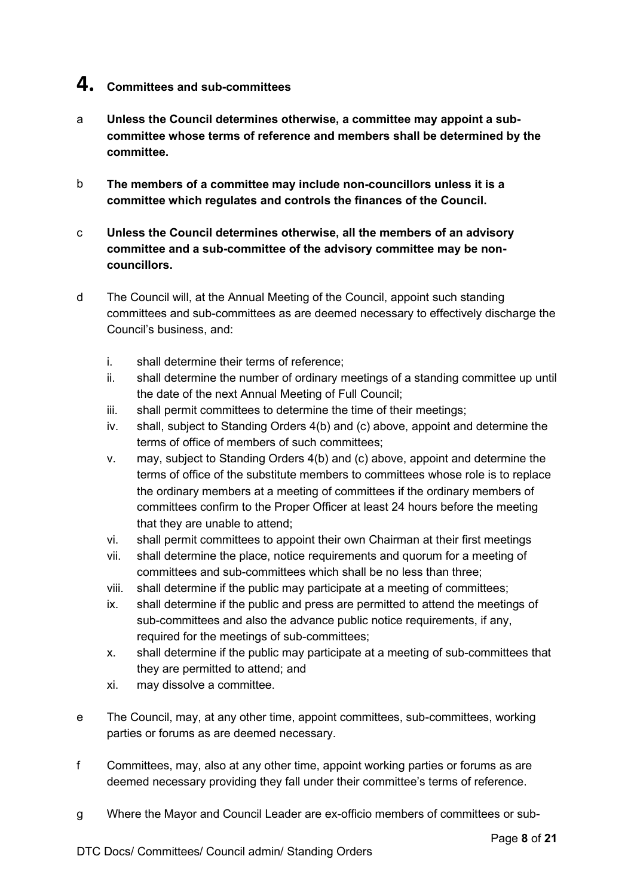## **4. Committees and sub-committees**

- a **Unless the Council determines otherwise, a committee may appoint a subcommittee whose terms of reference and members shall be determined by the committee.**
- b **The members of a committee may include non-councillors unless it is a committee which regulates and controls the finances of the Council.**
- c **Unless the Council determines otherwise, all the members of an advisory committee and a sub-committee of the advisory committee may be noncouncillors.**
- d The Council will, at the Annual Meeting of the Council, appoint such standing committees and sub-committees as are deemed necessary to effectively discharge the Council's business, and:
	- i. shall determine their terms of reference;
	- ii. shall determine the number of ordinary meetings of a standing committee up until the date of the next Annual Meeting of Full Council;
	- iii. shall permit committees to determine the time of their meetings;
	- iv. shall, subject to Standing Orders 4(b) and (c) above, appoint and determine the terms of office of members of such committees;
	- v. may, subject to Standing Orders 4(b) and (c) above, appoint and determine the terms of office of the substitute members to committees whose role is to replace the ordinary members at a meeting of committees if the ordinary members of committees confirm to the Proper Officer at least 24 hours before the meeting that they are unable to attend;
	- vi. shall permit committees to appoint their own Chairman at their first meetings
	- vii. shall determine the place, notice requirements and quorum for a meeting of committees and sub-committees which shall be no less than three;
	- viii. shall determine if the public may participate at a meeting of committees;
	- ix. shall determine if the public and press are permitted to attend the meetings of sub-committees and also the advance public notice requirements, if any, required for the meetings of sub-committees;
	- x. shall determine if the public may participate at a meeting of sub-committees that they are permitted to attend; and
	- xi. may dissolve a committee.
- e The Council, may, at any other time, appoint committees, sub-committees, working parties or forums as are deemed necessary.
- f Committees, may, also at any other time, appoint working parties or forums as are deemed necessary providing they fall under their committee's terms of reference.
- g Where the Mayor and Council Leader are ex-officio members of committees or sub-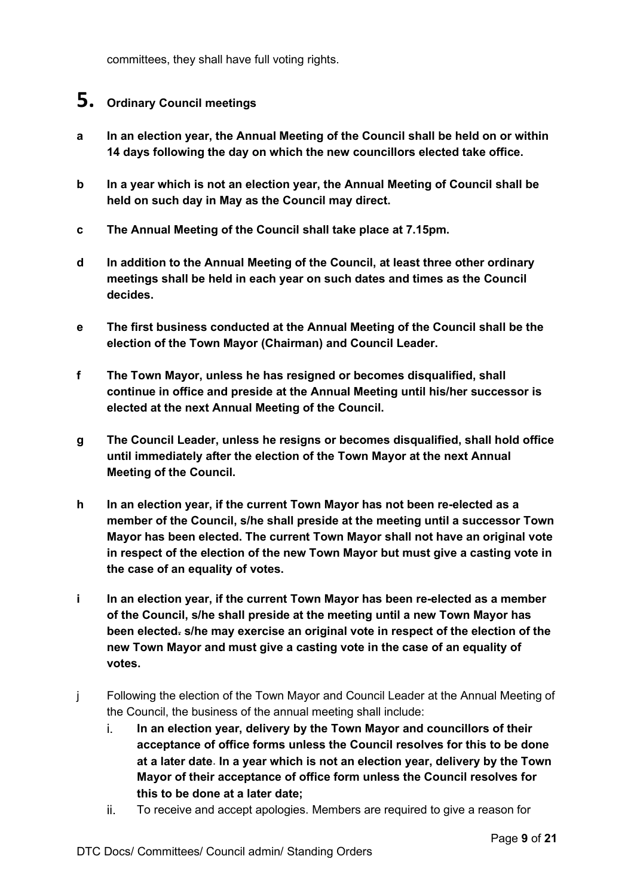committees, they shall have full voting rights.

### **5. Ordinary Council meetings**

- **a In an election year, the Annual Meeting of the Council shall be held on or within 14 days following the day on which the new councillors elected take office.**
- **b In a year which is not an election year, the Annual Meeting of Council shall be held on such day in May as the Council may direct.**
- **c The Annual Meeting of the Council shall take place at 7.15pm.**
- **d In addition to the Annual Meeting of the Council, at least three other ordinary meetings shall be held in each year on such dates and times as the Council decides.**
- **e The first business conducted at the Annual Meeting of the Council shall be the election of the Town Mayor (Chairman) and Council Leader.**
- **f The Town Mayor, unless he has resigned or becomes disqualified, shall continue in office and preside at the Annual Meeting until his/her successor is elected at the next Annual Meeting of the Council.**
- **g The Council Leader, unless he resigns or becomes disqualified, shall hold office until immediately after the election of the Town Mayor at the next Annual Meeting of the Council.**
- **h In an election year, if the current Town Mayor has not been re-elected as a member of the Council, s/he shall preside at the meeting until a successor Town Mayor has been elected. The current Town Mayor shall not have an original vote in respect of the election of the new Town Mayor but must give a casting vote in the case of an equality of votes.**
- **i In an election year, if the current Town Mayor has been re-elected as a member of the Council, s/he shall preside at the meeting until a new Town Mayor has been elected. s/he may exercise an original vote in respect of the election of the new Town Mayor and must give a casting vote in the case of an equality of votes.**
- j Following the election of the Town Mayor and Council Leader at the Annual Meeting of the Council, the business of the annual meeting shall include:
	- i. **In an election year, delivery by the Town Mayor and councillors of their acceptance of office forms unless the Council resolves for this to be done at a later date**. **In a year which is not an election year, delivery by the Town Mayor of their acceptance of office form unless the Council resolves for this to be done at a later date;**
	- ii. To receive and accept apologies. Members are required to give a reason for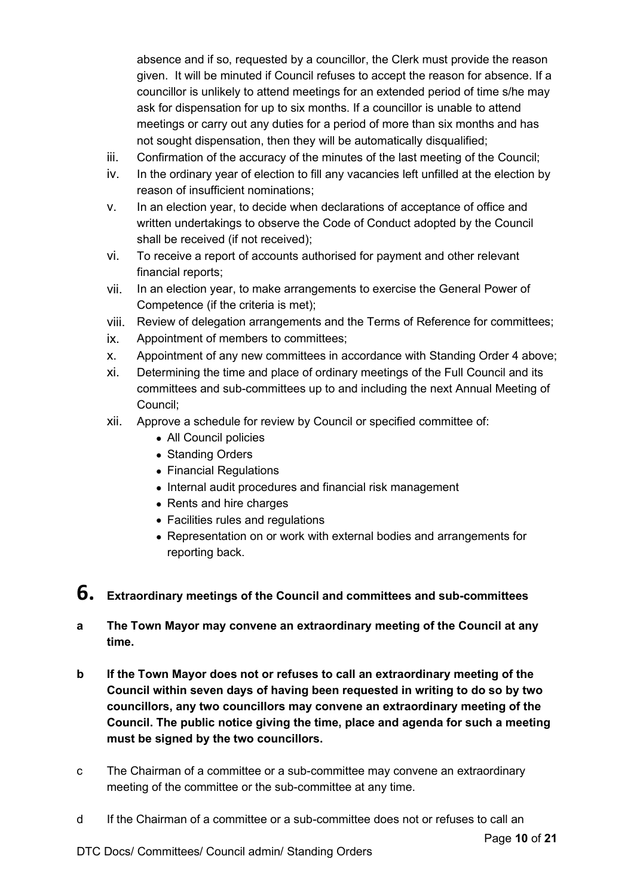absence and if so, requested by a councillor, the Clerk must provide the reason given. It will be minuted if Council refuses to accept the reason for absence. If a councillor is unlikely to attend meetings for an extended period of time s/he may ask for dispensation for up to six months. If a councillor is unable to attend meetings or carry out any duties for a period of more than six months and has not sought dispensation, then they will be automatically disqualified;

- iii. Confirmation of the accuracy of the minutes of the last meeting of the Council;
- iv. In the ordinary year of election to fill any vacancies left unfilled at the election by reason of insufficient nominations;
- v. In an election year, to decide when declarations of acceptance of office and written undertakings to observe the Code of Conduct adopted by the Council shall be received (if not received);
- vi. To receive a report of accounts authorised for payment and other relevant financial reports;
- vii. In an election year, to make arrangements to exercise the General Power of Competence (if the criteria is met);
- viii. Review of delegation arrangements and the Terms of Reference for committees;
- ix. Appointment of members to committees;
- x. Appointment of any new committees in accordance with Standing Order 4 above;
- xi. Determining the time and place of ordinary meetings of the Full Council and its committees and sub-committees up to and including the next Annual Meeting of Council;
- xii. Approve a schedule for review by Council or specified committee of:
	- All Council policies
	- Standing Orders
	- Financial Regulations
	- Internal audit procedures and financial risk management
	- Rents and hire charges
	- Facilities rules and regulations
	- Representation on or work with external bodies and arrangements for reporting back.

# **6. Extraordinary meetings of the Council and committees and sub-committees**

- **a The Town Mayor may convene an extraordinary meeting of the Council at any time.**
- **b If the Town Mayor does not or refuses to call an extraordinary meeting of the Council within seven days of having been requested in writing to do so by two councillors, any two councillors may convene an extraordinary meeting of the Council. The public notice giving the time, place and agenda for such a meeting must be signed by the two councillors.**
- c The Chairman of a committee or a sub-committee may convene an extraordinary meeting of the committee or the sub-committee at any time.
- d If the Chairman of a committee or a sub-committee does not or refuses to call an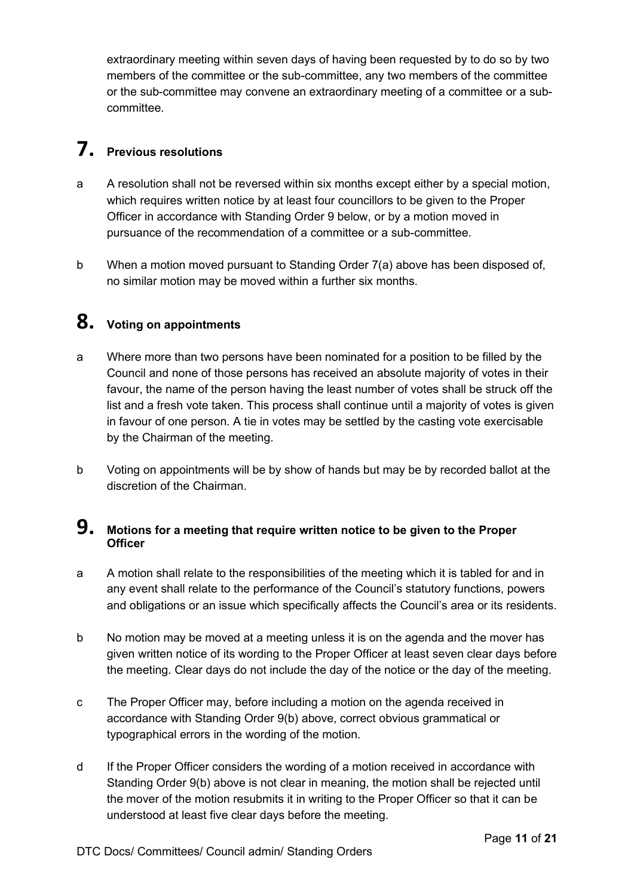extraordinary meeting within seven days of having been requested by to do so by two members of the committee or the sub-committee, any two members of the committee or the sub-committee may convene an extraordinary meeting of a committee or a subcommittee.

# **7. Previous resolutions**

- a A resolution shall not be reversed within six months except either by a special motion, which requires written notice by at least four councillors to be given to the Proper Officer in accordance with Standing Order 9 below, or by a motion moved in pursuance of the recommendation of a committee or a sub-committee.
- b When a motion moved pursuant to Standing Order 7(a) above has been disposed of, no similar motion may be moved within a further six months.

# **8. Voting on appointments**

- a Where more than two persons have been nominated for a position to be filled by the Council and none of those persons has received an absolute majority of votes in their favour, the name of the person having the least number of votes shall be struck off the list and a fresh vote taken. This process shall continue until a majority of votes is given in favour of one person. A tie in votes may be settled by the casting vote exercisable by the Chairman of the meeting.
- b Voting on appointments will be by show of hands but may be by recorded ballot at the discretion of the Chairman.

#### **9. Motions for a meeting that require written notice to be given to the Proper Officer**

- a A motion shall relate to the responsibilities of the meeting which it is tabled for and in any event shall relate to the performance of the Council's statutory functions, powers and obligations or an issue which specifically affects the Council's area or its residents.
- b No motion may be moved at a meeting unless it is on the agenda and the mover has given written notice of its wording to the Proper Officer at least seven clear days before the meeting. Clear days do not include the day of the notice or the day of the meeting.
- c The Proper Officer may, before including a motion on the agenda received in accordance with Standing Order 9(b) above, correct obvious grammatical or typographical errors in the wording of the motion.
- d If the Proper Officer considers the wording of a motion received in accordance with Standing Order 9(b) above is not clear in meaning, the motion shall be rejected until the mover of the motion resubmits it in writing to the Proper Officer so that it can be understood at least five clear days before the meeting.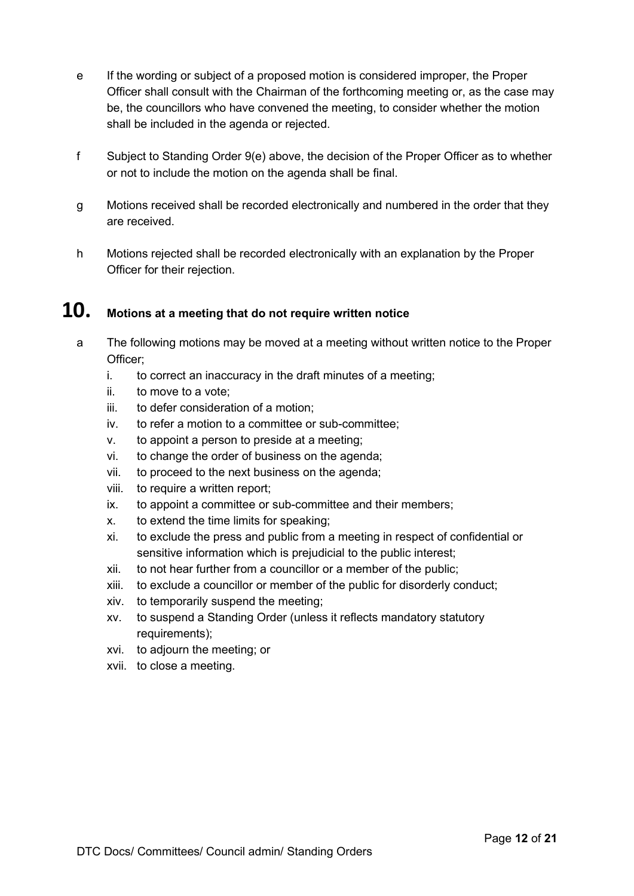- e If the wording or subject of a proposed motion is considered improper, the Proper Officer shall consult with the Chairman of the forthcoming meeting or, as the case may be, the councillors who have convened the meeting, to consider whether the motion shall be included in the agenda or rejected.
- f Subject to Standing Order 9(e) above, the decision of the Proper Officer as to whether or not to include the motion on the agenda shall be final.
- g Motions received shall be recorded electronically and numbered in the order that they are received.
- h Motions rejected shall be recorded electronically with an explanation by the Proper Officer for their rejection.

## **10. Motions at a meeting that do not require written notice**

- a The following motions may be moved at a meeting without written notice to the Proper Officer;
	- i. to correct an inaccuracy in the draft minutes of a meeting;
	- ii. to move to a vote;
	- iii. to defer consideration of a motion;
	- iv. to refer a motion to a committee or sub-committee;
	- v. to appoint a person to preside at a meeting;
	- vi. to change the order of business on the agenda;
	- vii. to proceed to the next business on the agenda;
	- viii. to require a written report;
	- ix. to appoint a committee or sub-committee and their members;
	- x. to extend the time limits for speaking;
	- xi. to exclude the press and public from a meeting in respect of confidential or sensitive information which is prejudicial to the public interest;
	- xii. to not hear further from a councillor or a member of the public;
	- xiii. to exclude a councillor or member of the public for disorderly conduct;
	- xiv. to temporarily suspend the meeting;
	- xv. to suspend a Standing Order (unless it reflects mandatory statutory requirements);
	- xvi. to adjourn the meeting; or
	- xvii. to close a meeting.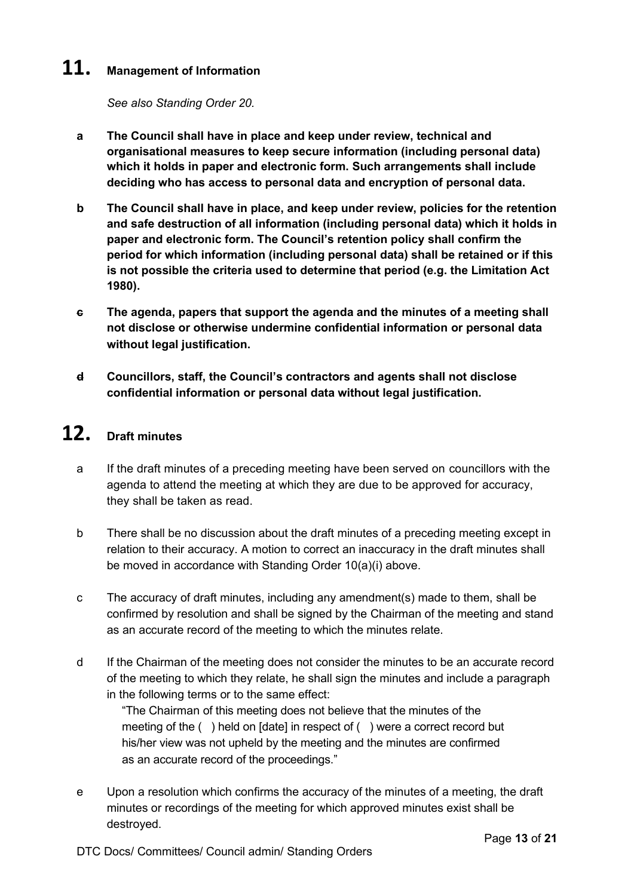## **11. Management of Information**

*See also Standing Order 20.*

- **a The Council shall have in place and keep under review, technical and organisational measures to keep secure information (including personal data) which it holds in paper and electronic form. Such arrangements shall include deciding who has access to personal data and encryption of personal data.**
- **b The Council shall have in place, and keep under review, policies for the retention and safe destruction of all information (including personal data) which it holds in paper and electronic form. The Council's retention policy shall confirm the period for which information (including personal data) shall be retained or if this is not possible the criteria used to determine that period (e.g. the Limitation Act 1980).**
- **c The agenda, papers that support the agenda and the minutes of a meeting shall not disclose or otherwise undermine confidential information or personal data without legal justification.**
- **d Councillors, staff, the Council's contractors and agents shall not disclose confidential information or personal data without legal justification.**

# **12. Draft minutes**

- a If the draft minutes of a preceding meeting have been served on councillors with the agenda to attend the meeting at which they are due to be approved for accuracy, they shall be taken as read.
- b There shall be no discussion about the draft minutes of a preceding meeting except in relation to their accuracy. A motion to correct an inaccuracy in the draft minutes shall be moved in accordance with Standing Order 10(a)(i) above.
- c The accuracy of draft minutes, including any amendment(s) made to them, shall be confirmed by resolution and shall be signed by the Chairman of the meeting and stand as an accurate record of the meeting to which the minutes relate.
- d If the Chairman of the meeting does not consider the minutes to be an accurate record of the meeting to which they relate, he shall sign the minutes and include a paragraph in the following terms or to the same effect:

"The Chairman of this meeting does not believe that the minutes of the meeting of the () held on [date] in respect of () were a correct record but his/her view was not upheld by the meeting and the minutes are confirmed as an accurate record of the proceedings."

e Upon a resolution which confirms the accuracy of the minutes of a meeting, the draft minutes or recordings of the meeting for which approved minutes exist shall be destroyed.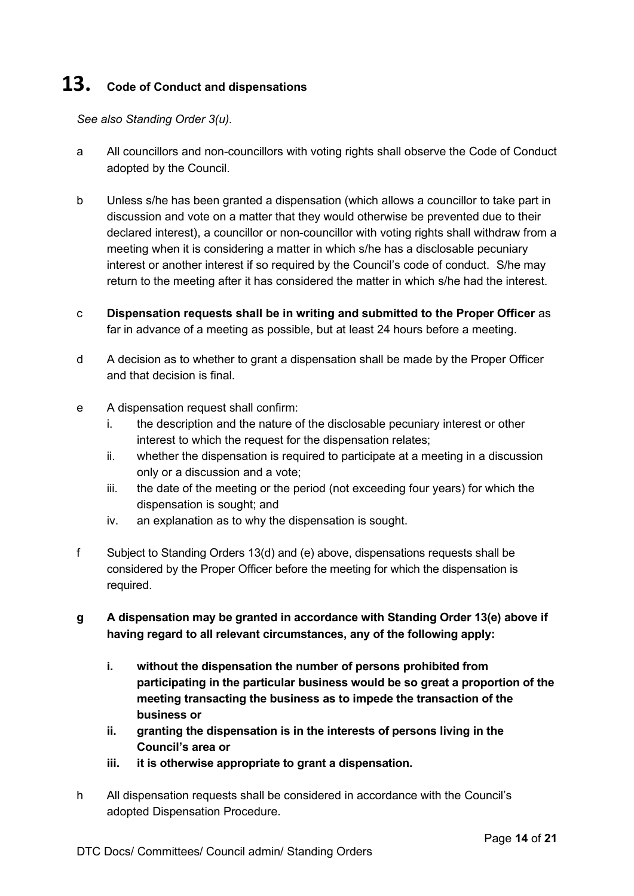# **13. Code of Conduct and dispensations**

*See also Standing Order 3(u).* 

- a All councillors and non-councillors with voting rights shall observe the Code of Conduct adopted by the Council.
- b Unless s/he has been granted a dispensation (which allows a councillor to take part in discussion and vote on a matter that they would otherwise be prevented due to their declared interest), a councillor or non-councillor with voting rights shall withdraw from a meeting when it is considering a matter in which s/he has a disclosable pecuniary interest or another interest if so required by the Council's code of conduct. S/he may return to the meeting after it has considered the matter in which s/he had the interest.
- c **Dispensation requests shall be in writing and submitted to the Proper Officer** as far in advance of a meeting as possible, but at least 24 hours before a meeting.
- d A decision as to whether to grant a dispensation shall be made by the Proper Officer and that decision is final.
- e A dispensation request shall confirm:
	- i. the description and the nature of the disclosable pecuniary interest or other interest to which the request for the dispensation relates;
	- ii. whether the dispensation is required to participate at a meeting in a discussion only or a discussion and a vote;
	- iii. the date of the meeting or the period (not exceeding four years) for which the dispensation is sought; and
	- iv. an explanation as to why the dispensation is sought.
- f Subject to Standing Orders 13(d) and (e) above, dispensations requests shall be considered by the Proper Officer before the meeting for which the dispensation is required.
- **g A dispensation may be granted in accordance with Standing Order 13(e) above if having regard to all relevant circumstances, any of the following apply:**
	- **i. without the dispensation the number of persons prohibited from participating in the particular business would be so great a proportion of the meeting transacting the business as to impede the transaction of the business or**
	- **ii. granting the dispensation is in the interests of persons living in the Council's area or**
	- **iii. it is otherwise appropriate to grant a dispensation.**
- h All dispensation requests shall be considered in accordance with the Council's adopted Dispensation Procedure.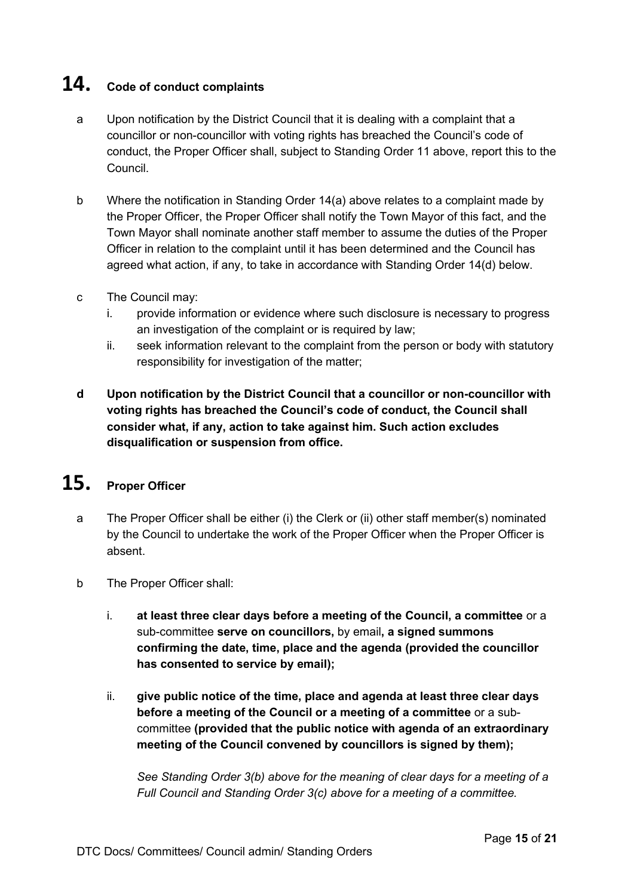# **14. Code of conduct complaints**

- a Upon notification by the District Council that it is dealing with a complaint that a councillor or non-councillor with voting rights has breached the Council's code of conduct, the Proper Officer shall, subject to Standing Order 11 above, report this to the Council.
- b Where the notification in Standing Order 14(a) above relates to a complaint made by the Proper Officer, the Proper Officer shall notify the Town Mayor of this fact, and the Town Mayor shall nominate another staff member to assume the duties of the Proper Officer in relation to the complaint until it has been determined and the Council has agreed what action, if any, to take in accordance with Standing Order 14(d) below.
- c The Council may:
	- i. provide information or evidence where such disclosure is necessary to progress an investigation of the complaint or is required by law;
	- ii. seek information relevant to the complaint from the person or body with statutory responsibility for investigation of the matter;
- **d Upon notification by the District Council that a councillor or non-councillor with voting rights has breached the Council's code of conduct, the Council shall consider what, if any, action to take against him. Such action excludes disqualification or suspension from office.**

# **15. Proper Officer**

- a The Proper Officer shall be either (i) the Clerk or (ii) other staff member(s) nominated by the Council to undertake the work of the Proper Officer when the Proper Officer is absent.
- b The Proper Officer shall:
	- i. **at least three clear days before a meeting of the Council, a committee** or a sub-committee **serve on councillors,** by email**, a signed summons confirming the date, time, place and the agenda (provided the councillor has consented to service by email);**
	- ii. **give public notice of the time, place and agenda at least three clear days before a meeting of the Council or a meeting of a committee** or a subcommittee **(provided that the public notice with agenda of an extraordinary meeting of the Council convened by councillors is signed by them);**

*See Standing Order 3(b) above for the meaning of clear days for a meeting of a Full Council and Standing Order 3(c) above for a meeting of a committee.*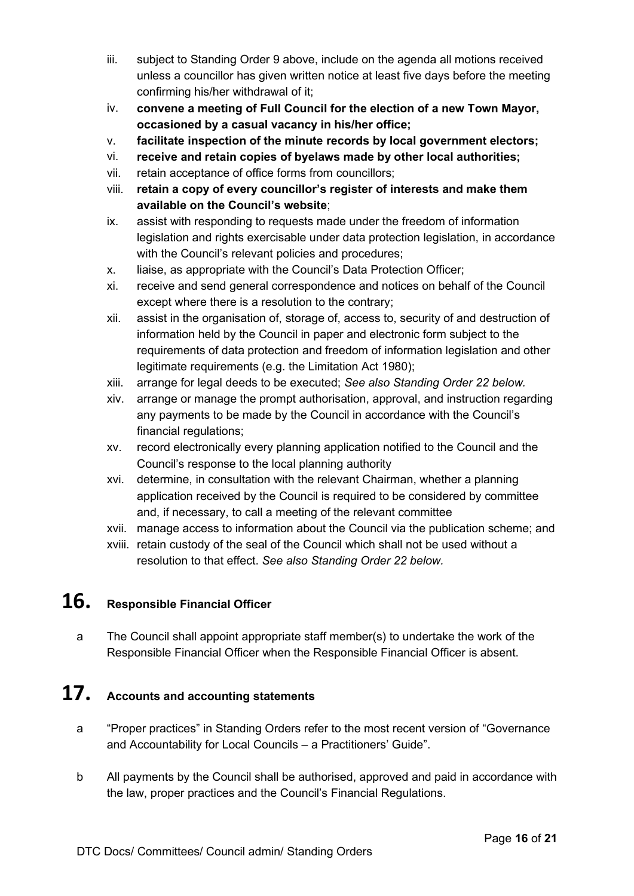- iii. subject to Standing Order 9 above, include on the agenda all motions received unless a councillor has given written notice at least five days before the meeting confirming his/her withdrawal of it;
- iv. **convene a meeting of Full Council for the election of a new Town Mayor, occasioned by a casual vacancy in his/her office;**
- v. **facilitate inspection of the minute records by local government electors;**
- vi. **receive and retain copies of byelaws made by other local authorities;**
- vii. retain acceptance of office forms from councillors;
- viii. **retain a copy of every councillor's register of interests and make them available on the Council's website**;
- ix. assist with responding to requests made under the freedom of information legislation and rights exercisable under data protection legislation, in accordance with the Council's relevant policies and procedures;
- x. liaise, as appropriate with the Council's Data Protection Officer;
- xi. receive and send general correspondence and notices on behalf of the Council except where there is a resolution to the contrary;
- xii. assist in the organisation of, storage of, access to, security of and destruction of information held by the Council in paper and electronic form subject to the requirements of data protection and freedom of information legislation and other legitimate requirements (e.g. the Limitation Act 1980);
- xiii. arrange for legal deeds to be executed; *See also Standing Order 22 below.*
- xiv. arrange or manage the prompt authorisation, approval, and instruction regarding any payments to be made by the Council in accordance with the Council's financial regulations;
- xv. record electronically every planning application notified to the Council and the Council's response to the local planning authority
- xvi. determine, in consultation with the relevant Chairman, whether a planning application received by the Council is required to be considered by committee and, if necessary, to call a meeting of the relevant committee
- xvii. manage access to information about the Council via the publication scheme; and
- xviii. retain custody of the seal of the Council which shall not be used without a resolution to that effect. *See also Standing Order 22 below.*

# **16. Responsible Financial Officer**

a The Council shall appoint appropriate staff member(s) to undertake the work of the Responsible Financial Officer when the Responsible Financial Officer is absent.

## **17. Accounts and accounting statements**

- a "Proper practices" in Standing Orders refer to the most recent version of "Governance and Accountability for Local Councils – a Practitioners' Guide".
- b All payments by the Council shall be authorised, approved and paid in accordance with the law, proper practices and the Council's Financial Regulations.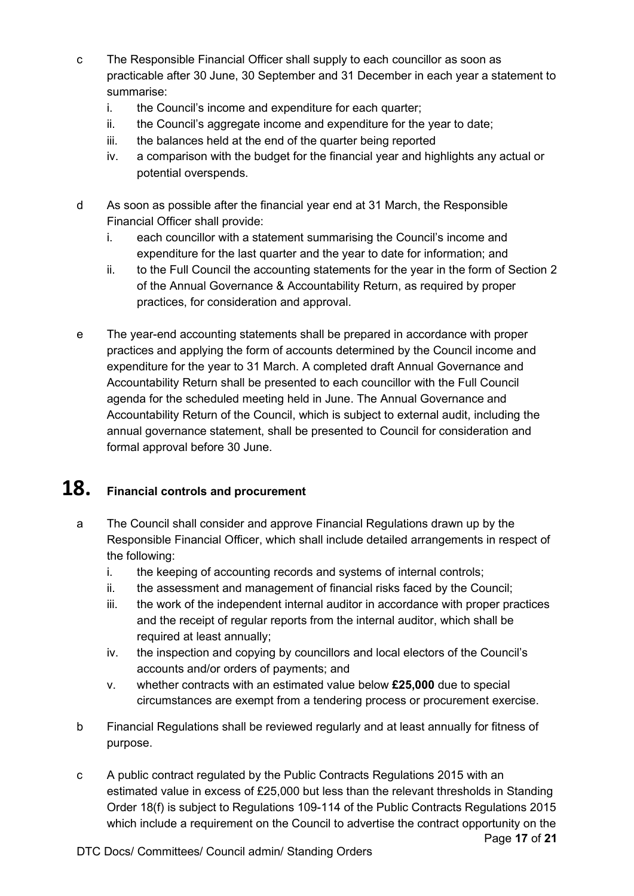- c The Responsible Financial Officer shall supply to each councillor as soon as practicable after 30 June, 30 September and 31 December in each year a statement to summarise:
	- i. the Council's income and expenditure for each quarter;
	- ii. the Council's aggregate income and expenditure for the year to date;
	- iii. the balances held at the end of the quarter being reported
	- iv. a comparison with the budget for the financial year and highlights any actual or potential overspends.
- d As soon as possible after the financial year end at 31 March, the Responsible Financial Officer shall provide:
	- i. each councillor with a statement summarising the Council's income and expenditure for the last quarter and the year to date for information; and
	- ii. to the Full Council the accounting statements for the year in the form of Section 2 of the Annual Governance & Accountability Return, as required by proper practices, for consideration and approval.
- e The year-end accounting statements shall be prepared in accordance with proper practices and applying the form of accounts determined by the Council income and expenditure for the year to 31 March. A completed draft Annual Governance and Accountability Return shall be presented to each councillor with the Full Council agenda for the scheduled meeting held in June. The Annual Governance and Accountability Return of the Council, which is subject to external audit, including the annual governance statement, shall be presented to Council for consideration and formal approval before 30 June.

# **18. Financial controls and procurement**

- a The Council shall consider and approve Financial Regulations drawn up by the Responsible Financial Officer, which shall include detailed arrangements in respect of the following:
	- i. the keeping of accounting records and systems of internal controls;
	- ii. the assessment and management of financial risks faced by the Council;
	- iii. the work of the independent internal auditor in accordance with proper practices and the receipt of regular reports from the internal auditor, which shall be required at least annually;
	- iv. the inspection and copying by councillors and local electors of the Council's accounts and/or orders of payments; and
	- v. whether contracts with an estimated value below **£25,000** due to special circumstances are exempt from a tendering process or procurement exercise.
- b Financial Regulations shall be reviewed regularly and at least annually for fitness of purpose.
- Page **17** of **21** c A public contract regulated by the Public Contracts Regulations 2015 with an estimated value in excess of £25,000 but less than the relevant thresholds in Standing Order 18(f) is subject to Regulations 109-114 of the Public Contracts Regulations 2015 which include a requirement on the Council to advertise the contract opportunity on the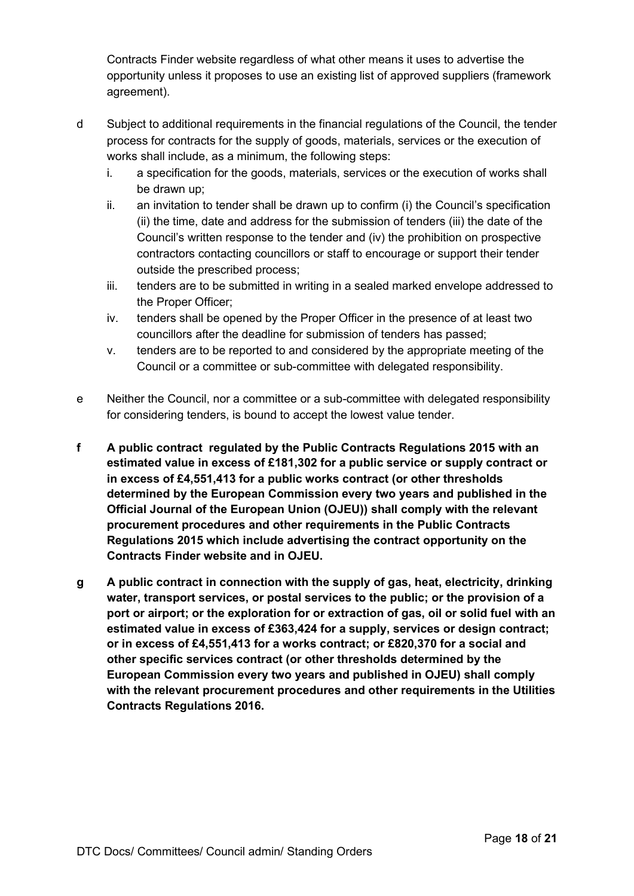Contracts Finder website regardless of what other means it uses to advertise the opportunity unless it proposes to use an existing list of approved suppliers (framework agreement).

- d Subject to additional requirements in the financial regulations of the Council, the tender process for contracts for the supply of goods, materials, services or the execution of works shall include, as a minimum, the following steps:
	- i. a specification for the goods, materials, services or the execution of works shall be drawn up;
	- ii. an invitation to tender shall be drawn up to confirm (i) the Council's specification (ii) the time, date and address for the submission of tenders (iii) the date of the Council's written response to the tender and (iv) the prohibition on prospective contractors contacting councillors or staff to encourage or support their tender outside the prescribed process;
	- iii. tenders are to be submitted in writing in a sealed marked envelope addressed to the Proper Officer;
	- iv. tenders shall be opened by the Proper Officer in the presence of at least two councillors after the deadline for submission of tenders has passed;
	- v. tenders are to be reported to and considered by the appropriate meeting of the Council or a committee or sub-committee with delegated responsibility.
- e Neither the Council, nor a committee or a sub-committee with delegated responsibility for considering tenders, is bound to accept the lowest value tender.
- **f A public contract regulated by the Public Contracts Regulations 2015 with an estimated value in excess of £181,302 for a public service or supply contract or in excess of £4,551,413 for a public works contract (or other thresholds determined by the European Commission every two years and published in the Official Journal of the European Union (OJEU)) shall comply with the relevant procurement procedures and other requirements in the Public Contracts Regulations 2015 which include advertising the contract opportunity on the Contracts Finder website and in OJEU.**
- **g A public contract in connection with the supply of gas, heat, electricity, drinking water, transport services, or postal services to the public; or the provision of a port or airport; or the exploration for or extraction of gas, oil or solid fuel with an estimated value in excess of £363,424 for a supply, services or design contract; or in excess of £4,551,413 for a works contract; or £820,370 for a social and other specific services contract (or other thresholds determined by the European Commission every two years and published in OJEU) shall comply with the relevant procurement procedures and other requirements in the Utilities Contracts Regulations 2016.**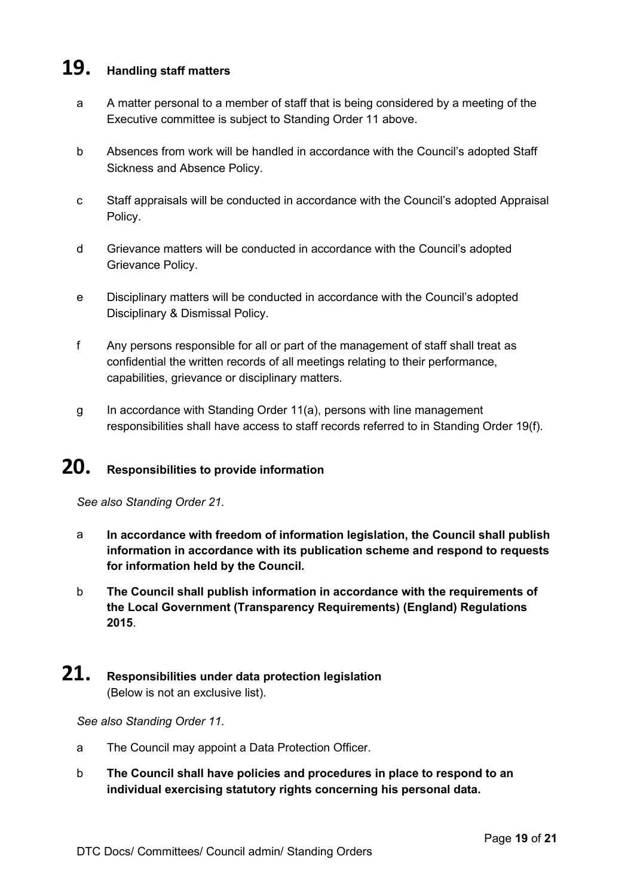## **19. Handling staff matters**

- a A matter personal to a member of staff that is being considered by a meeting of the Executive committee is subject to Standing Order 11 above.
- b Absences from work will be handled in accordance with the Council's adopted Staff Sickness and Absence Policy.
- c Staff appraisals will be conducted in accordance with the Council's adopted Appraisal Policy.
- d Grievance matters will be conducted in accordance with the Council's adopted Grievance Policy.
- e Disciplinary matters will be conducted in accordance with the Council's adopted Disciplinary & Dismissal Policy.
- f Any persons responsible for all or part of the management of staff shall treat as confidential the written records of all meetings relating to their performance, capabilities, grievance or disciplinary matters.
- g In accordance with Standing Order 11(a), persons with line management responsibilities shall have access to staff records referred to in Standing Order 19(f).

# **20. Responsibilities to provide information**

*See also Standing Order 21.*

- a **In accordance with freedom of information legislation, the Council shall publish information in accordance with its publication scheme and respond to requests for information held by the Council.**
- b **The Council shall publish information in accordance with the requirements of the Local Government (Transparency Requirements) (England) Regulations 2015**.

## **21. Responsibilities under data protection legislation**  (Below is not an exclusive list).

#### *See also Standing Order 11.*

- a The Council may appoint a Data Protection Officer.
- b **The Council shall have policies and procedures in place to respond to an individual exercising statutory rights concerning his personal data.**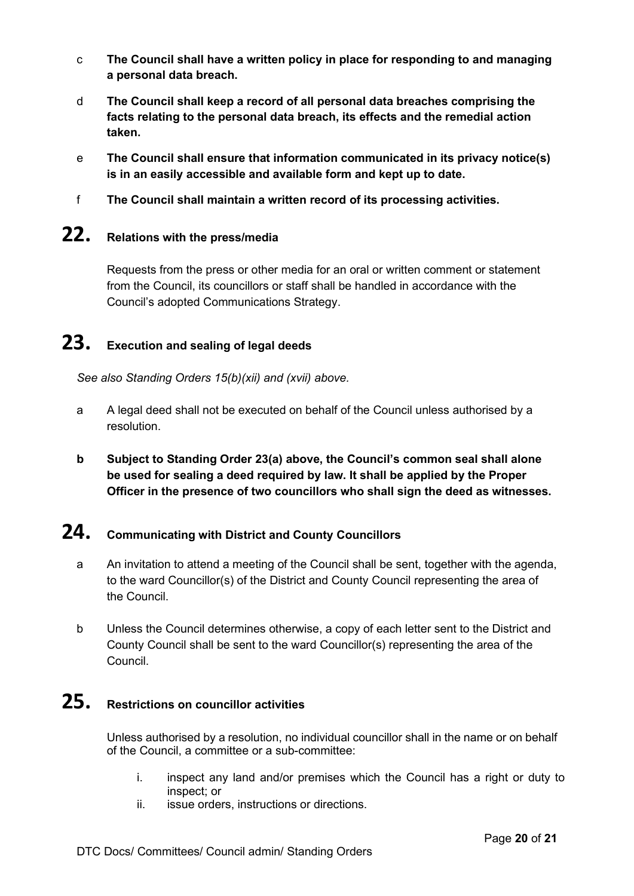- c **The Council shall have a written policy in place for responding to and managing a personal data breach.**
- d **The Council shall keep a record of all personal data breaches comprising the facts relating to the personal data breach, its effects and the remedial action taken.**
- e **The Council shall ensure that information communicated in its privacy notice(s) is in an easily accessible and available form and kept up to date.**
- f **The Council shall maintain a written record of its processing activities.**

## **22. Relations with the press/media**

Requests from the press or other media for an oral or written comment or statement from the Council, its councillors or staff shall be handled in accordance with the Council's adopted Communications Strategy.

## **23. Execution and sealing of legal deeds**

*See also Standing Orders 15(b)(xii) and (xvii) above.*

- a A legal deed shall not be executed on behalf of the Council unless authorised by a resolution.
- **b Subject to Standing Order 23(a) above, the Council's common seal shall alone be used for sealing a deed required by law. It shall be applied by the Proper Officer in the presence of two councillors who shall sign the deed as witnesses.**

# **24. Communicating with District and County Councillors**

- a An invitation to attend a meeting of the Council shall be sent, together with the agenda, to the ward Councillor(s) of the District and County Council representing the area of the Council.
- b Unless the Council determines otherwise, a copy of each letter sent to the District and County Council shall be sent to the ward Councillor(s) representing the area of the Council.

# **25. Restrictions on councillor activities**

Unless authorised by a resolution, no individual councillor shall in the name or on behalf of the Council, a committee or a sub-committee:

- i. inspect any land and/or premises which the Council has a right or duty to inspect; or
- ii. issue orders, instructions or directions.